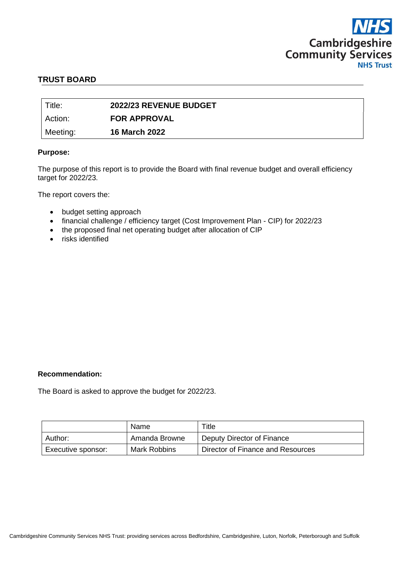

#### **TRUST BOARD**

| Title:   | 2022/23 REVENUE BUDGET |
|----------|------------------------|
| Action:  | <b>FOR APPROVAL</b>    |
| Meeting: | <b>16 March 2022</b>   |

#### **Purpose:**

The purpose of this report is to provide the Board with final revenue budget and overall efficiency target for 2022/23.

The report covers the:

- budget setting approach
- financial challenge / efficiency target (Cost Improvement Plan CIP) for 2022/23
- the proposed final net operating budget after allocation of CIP
- risks identified

#### **Recommendation:**

The Board is asked to approve the budget for 2022/23.

|                    | Name          | Title                             |
|--------------------|---------------|-----------------------------------|
| Author:            | Amanda Browne | Deputy Director of Finance        |
| Executive sponsor: | Mark Robbins  | Director of Finance and Resources |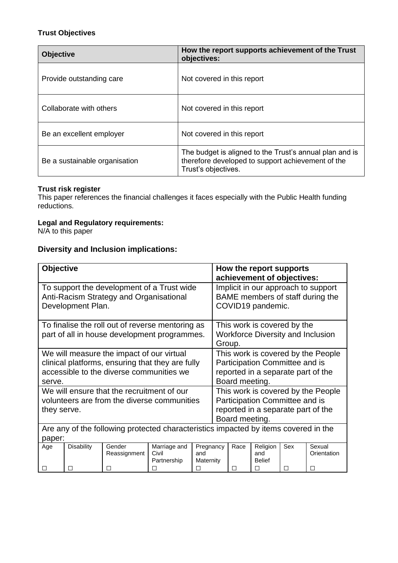# **Trust Objectives**

| <b>Objective</b>              | How the report supports achievement of the Trust<br>objectives:                                                                     |  |
|-------------------------------|-------------------------------------------------------------------------------------------------------------------------------------|--|
| Provide outstanding care      | Not covered in this report                                                                                                          |  |
| Collaborate with others       | Not covered in this report                                                                                                          |  |
| Be an excellent employer      | Not covered in this report                                                                                                          |  |
| Be a sustainable organisation | The budget is aligned to the Trust's annual plan and is<br>therefore developed to support achievement of the<br>Trust's objectives. |  |

#### **Trust risk register**

This paper references the financial challenges it faces especially with the Public Health funding reductions.

## **Legal and Regulatory requirements:**

N/A to this paper

# **Diversity and Inclusion implications:**

| To support the development of a Trust wide<br>Implicit in our approach to support<br>BAME members of staff during the<br>Anti-Racism Strategy and Organisational                                   |                                                                                                            |  |  |  |  |
|----------------------------------------------------------------------------------------------------------------------------------------------------------------------------------------------------|------------------------------------------------------------------------------------------------------------|--|--|--|--|
| Development Plan.<br>COVID19 pandemic.                                                                                                                                                             |                                                                                                            |  |  |  |  |
| To finalise the roll out of reverse mentoring as<br>This work is covered by the<br>part of all in house development programmes.<br>Group.                                                          | <b>Workforce Diversity and Inclusion</b>                                                                   |  |  |  |  |
| We will measure the impact of our virtual<br>clinical platforms, ensuring that they are fully<br>accessible to the diverse communities we<br>Board meeting.<br>serve.                              | This work is covered by the People<br>Participation Committee and is<br>reported in a separate part of the |  |  |  |  |
| We will ensure that the recruitment of our<br>volunteers are from the diverse communities<br>they serve.<br>Board meeting.                                                                         | This work is covered by the People<br>Participation Committee and is<br>reported in a separate part of the |  |  |  |  |
| Are any of the following protected characteristics impacted by items covered in the<br>paper:                                                                                                      |                                                                                                            |  |  |  |  |
| Marriage and<br>Pregnancy<br>Religion<br>Sex<br><b>Disability</b><br>Gender<br>Race<br>Age<br>Civil<br>and<br>Reassignment<br>and<br>Partnership<br>Maternity<br><b>Belief</b><br>П<br>П<br>П<br>□ | Sexual<br>Orientation                                                                                      |  |  |  |  |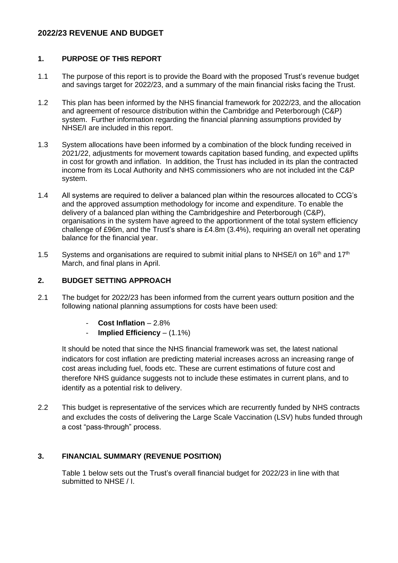# **2022/23 REVENUE AND BUDGET**

## **1. PURPOSE OF THIS REPORT**

- 1.1 The purpose of this report is to provide the Board with the proposed Trust's revenue budget and savings target for 2022/23, and a summary of the main financial risks facing the Trust.
- 1.2 This plan has been informed by the NHS financial framework for 2022/23, and the allocation and agreement of resource distribution within the Cambridge and Peterborough (C&P) system. Further information regarding the financial planning assumptions provided by NHSE/I are included in this report.
- 1.3 System allocations have been informed by a combination of the block funding received in 2021/22, adjustments for movement towards capitation based funding, and expected uplifts in cost for growth and inflation. In addition, the Trust has included in its plan the contracted income from its Local Authority and NHS commissioners who are not included int the C&P system.
- 1.4 All systems are required to deliver a balanced plan within the resources allocated to CCG's and the approved assumption methodology for income and expenditure. To enable the delivery of a balanced plan withing the Cambridgeshire and Peterborough (C&P), organisations in the system have agreed to the apportionment of the total system efficiency challenge of £96m, and the Trust's share is £4.8m (3.4%), requiring an overall net operating balance for the financial year.
- 1.5 Systems and organisations are required to submit initial plans to NHSE/I on 16<sup>th</sup> and 17<sup>th</sup> March, and final plans in April.

# **2. BUDGET SETTING APPROACH**

- 2.1 The budget for 2022/23 has been informed from the current years outturn position and the following national planning assumptions for costs have been used:
	- **Cost Inflation**  2.8%
	- **Implied Efficiency** (1.1%)

It should be noted that since the NHS financial framework was set, the latest national indicators for cost inflation are predicting material increases across an increasing range of cost areas including fuel, foods etc. These are current estimations of future cost and therefore NHS guidance suggests not to include these estimates in current plans, and to identify as a potential risk to delivery.

2.2 This budget is representative of the services which are recurrently funded by NHS contracts and excludes the costs of delivering the Large Scale Vaccination (LSV) hubs funded through a cost "pass-through" process.

# **3. FINANCIAL SUMMARY (REVENUE POSITION)**

Table 1 below sets out the Trust's overall financial budget for 2022/23 in line with that submitted to NHSE / I.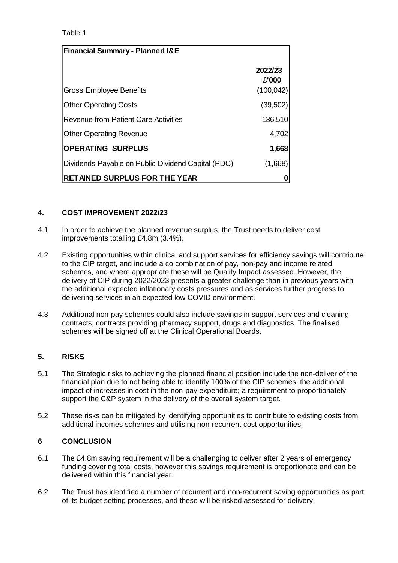## Table 1

| <b>Financial Summary - Planned I&amp;E</b>         |                  |
|----------------------------------------------------|------------------|
|                                                    | 2022/23<br>£'000 |
| <b>Gross Employee Benefits</b>                     | (100, 042)       |
| <b>Other Operating Costs</b>                       | (39, 502)        |
| <b>Revenue from Patient Care Activities</b>        | 136,510          |
| <b>Other Operating Revenue</b>                     | 4,702            |
| <b>OPERATING SURPLUS</b>                           | 1,668            |
| Dividends Payable on Public Dividend Capital (PDC) | (1,668)          |
| <b>RETAINED SURPLUS FOR THE YEAR</b>               |                  |

#### **4. COST IMPROVEMENT 2022/23**

- 4.1 In order to achieve the planned revenue surplus, the Trust needs to deliver cost improvements totalling £4.8m (3.4%).
- 4.2 Existing opportunities within clinical and support services for efficiency savings will contribute to the CIP target, and include a co combination of pay, non-pay and income related schemes, and where appropriate these will be Quality Impact assessed. However, the delivery of CIP during 2022/2023 presents a greater challenge than in previous years with the additional expected inflationary costs pressures and as services further progress to delivering services in an expected low COVID environment.
- 4.3 Additional non-pay schemes could also include savings in support services and cleaning contracts, contracts providing pharmacy support, drugs and diagnostics. The finalised schemes will be signed off at the Clinical Operational Boards.

# **5. RISKS**

- 5.1 The Strategic risks to achieving the planned financial position include the non-deliver of the financial plan due to not being able to identify 100% of the CIP schemes; the additional impact of increases in cost in the non-pay expenditure; a requirement to proportionately support the C&P system in the delivery of the overall system target.
- 5.2 These risks can be mitigated by identifying opportunities to contribute to existing costs from additional incomes schemes and utilising non-recurrent cost opportunities.

# **6 CONCLUSION**

- 6.1 The £4.8m saving requirement will be a challenging to deliver after 2 years of emergency funding covering total costs, however this savings requirement is proportionate and can be delivered within this financial year.
- 6.2 The Trust has identified a number of recurrent and non-recurrent saving opportunities as part of its budget setting processes, and these will be risked assessed for delivery.